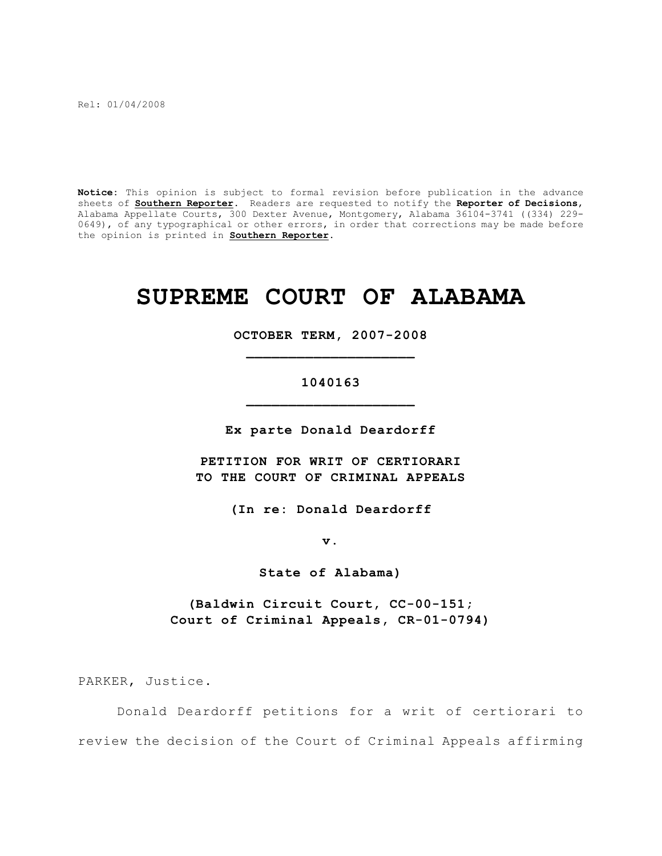Rel: 01/04/2008

**Notice:** This opinion is subject to formal revision before publication in the advance sheets of **Southern Reporter**. Readers are requested to notify the **Reporter of Decisions**, Alabama Appellate Courts, 300 Dexter Avenue, Montgomery, Alabama 36104-3741 ((334) 229- 0649), of any typographical or other errors, in order that corrections may be made before the opinion is printed in **Southern Reporter**.

# **SUPREME COURT OF ALABAMA**

**OCTOBER TERM, 2007-2008 \_\_\_\_\_\_\_\_\_\_\_\_\_\_\_\_\_\_\_\_**

## **1040163 \_\_\_\_\_\_\_\_\_\_\_\_\_\_\_\_\_\_\_\_**

**Ex parte Donald Deardorff**

**PETITION FOR WRIT OF CERTIORARI TO THE COURT OF CRIMINAL APPEALS**

**(In re: Donald Deardorff**

**v.**

**State of Alabama)**

**(Baldwin Circuit Court, CC-00-151; Court of Criminal Appeals, CR-01-0794)**

PARKER, Justice.

Donald Deardorff petitions for a writ of certiorari to review the decision of the Court of Criminal Appeals affirming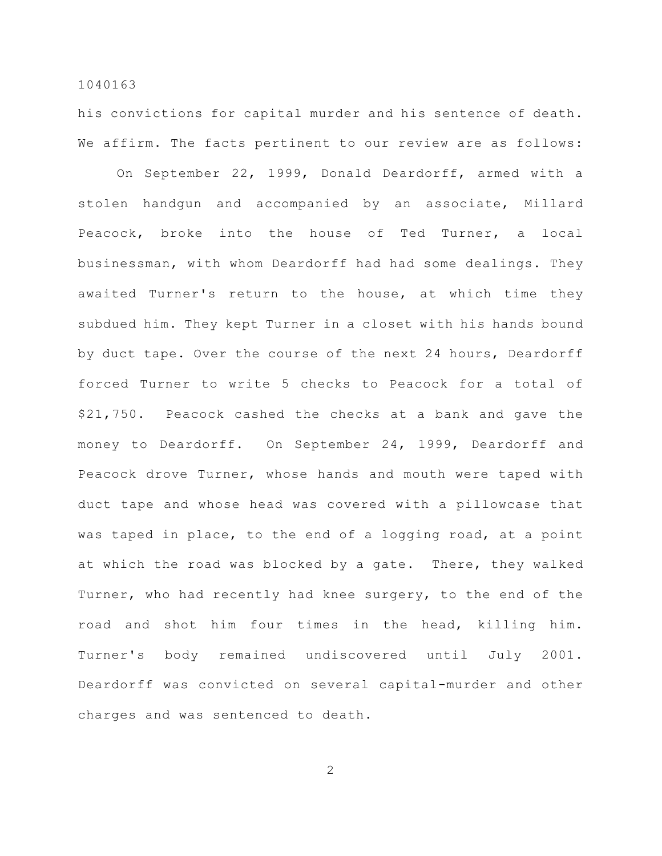his convictions for capital murder and his sentence of death. We affirm. The facts pertinent to our review are as follows:

On September 22, 1999, Donald Deardorff, armed with a stolen handgun and accompanied by an associate, Millard Peacock, broke into the house of Ted Turner, a local businessman, with whom Deardorff had had some dealings. They awaited Turner's return to the house, at which time they subdued him. They kept Turner in a closet with his hands bound by duct tape. Over the course of the next 24 hours, Deardorff forced Turner to write 5 checks to Peacock for a total of \$21,750. Peacock cashed the checks at a bank and gave the money to Deardorff. On September 24, 1999, Deardorff and Peacock drove Turner, whose hands and mouth were taped with duct tape and whose head was covered with a pillowcase that was taped in place, to the end of a logging road, at a point at which the road was blocked by a gate. There, they walked Turner, who had recently had knee surgery, to the end of the road and shot him four times in the head, killing him. Turner's body remained undiscovered until July 2001. Deardorff was convicted on several capital-murder and other charges and was sentenced to death.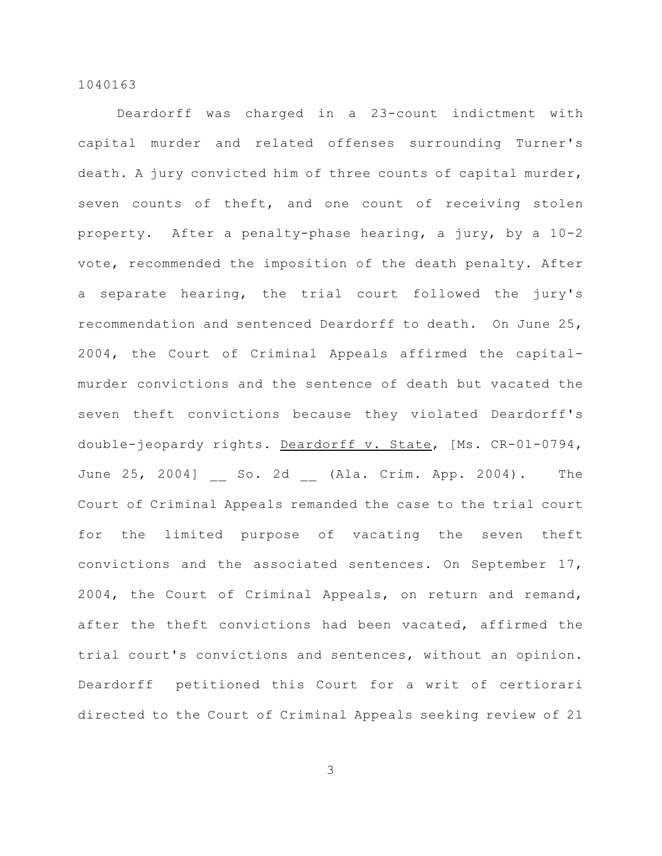Deardorff was charged in a 23-count indictment with capital murder and related offenses surrounding Turner's death. A jury convicted him of three counts of capital murder, seven counts of theft, and one count of receiving stolen property. After a penalty-phase hearing, a jury, by a 10-2 vote, recommended the imposition of the death penalty. After a separate hearing, the trial court followed the jury's recommendation and sentenced Deardorff to death. On June 25, 2004, the Court of Criminal Appeals affirmed the capitalmurder convictions and the sentence of death but vacated the seven theft convictions because they violated Deardorff's double-jeopardy rights. Deardorff v. State, [Ms. CR-01-0794, June 25, 2004] So. 2d (Ala. Crim. App. 2004). The Court of Criminal Appeals remanded the case to the trial court for the limited purpose of vacating the seven theft convictions and the associated sentences. On September 17, 2004, the Court of Criminal Appeals, on return and remand, after the theft convictions had been vacated, affirmed the trial court's convictions and sentences, without an opinion. Deardorff petitioned this Court for a writ of certiorari directed to the Court of Criminal Appeals seeking review of 21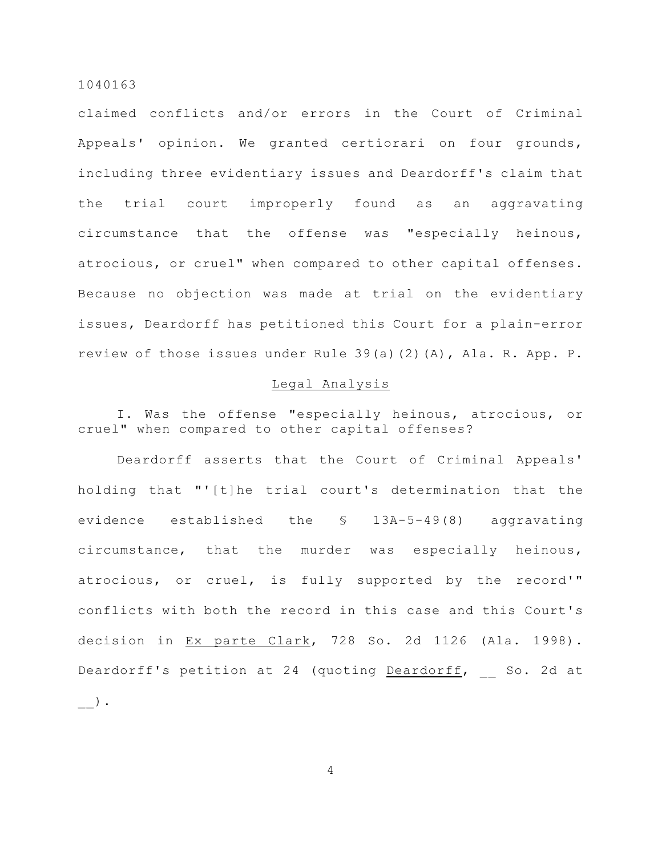claimed conflicts and/or errors in the Court of Criminal Appeals' opinion. We granted certiorari on four grounds, including three evidentiary issues and Deardorff's claim that the trial court improperly found as an aggravating circumstance that the offense was "especially heinous, atrocious, or cruel" when compared to other capital offenses. Because no objection was made at trial on the evidentiary issues, Deardorff has petitioned this Court for a plain-error review of those issues under Rule 39(a)(2)(A), Ala. R. App. P.

## Legal Analysis

I. Was the offense "especially heinous, atrocious, or cruel" when compared to other capital offenses?

Deardorff asserts that the Court of Criminal Appeals' holding that "'[t]he trial court's determination that the evidence established the § 13A-5-49(8) aggravating circumstance, that the murder was especially heinous, atrocious, or cruel, is fully supported by the record'" conflicts with both the record in this case and this Court's decision in Ex parte Clark, 728 So. 2d 1126 (Ala. 1998). Deardorff's petition at 24 (quoting Deardorff, So. 2d at  $)$  .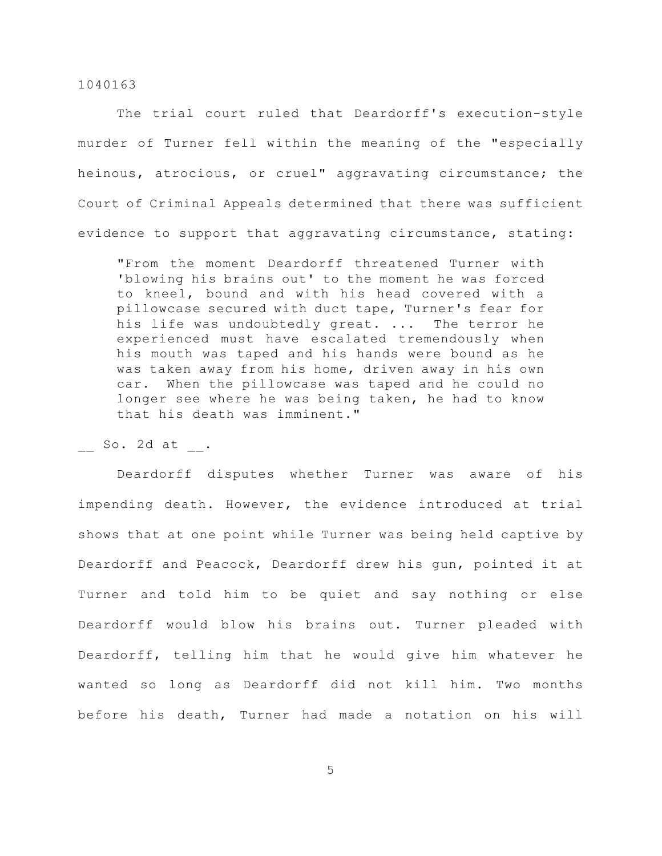The trial court ruled that Deardorff's execution-style murder of Turner fell within the meaning of the "especially heinous, atrocious, or cruel" aggravating circumstance; the Court of Criminal Appeals determined that there was sufficient evidence to support that aggravating circumstance, stating:

"From the moment Deardorff threatened Turner with 'blowing his brains out' to the moment he was forced to kneel, bound and with his head covered with a pillowcase secured with duct tape, Turner's fear for his life was undoubtedly great. ... The terror he experienced must have escalated tremendously when his mouth was taped and his hands were bound as he was taken away from his home, driven away in his own car. When the pillowcase was taped and he could no longer see where he was being taken, he had to know that his death was imminent."

\_\_ So. 2d at \_\_.

Deardorff disputes whether Turner was aware of his impending death. However, the evidence introduced at trial shows that at one point while Turner was being held captive by Deardorff and Peacock, Deardorff drew his gun, pointed it at Turner and told him to be quiet and say nothing or else Deardorff would blow his brains out. Turner pleaded with Deardorff, telling him that he would give him whatever he wanted so long as Deardorff did not kill him. Two months before his death, Turner had made a notation on his will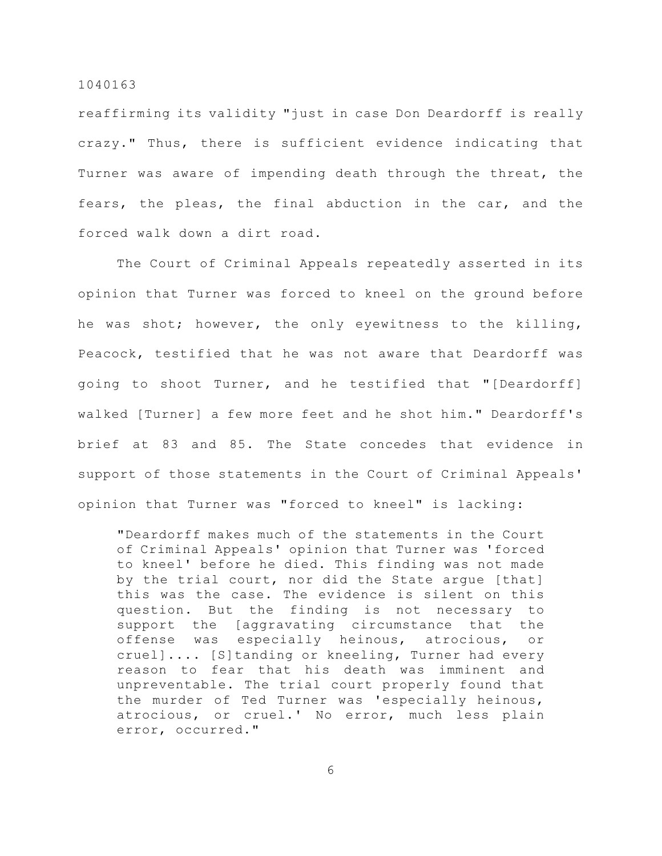reaffirming its validity "just in case Don Deardorff is really crazy." Thus, there is sufficient evidence indicating that Turner was aware of impending death through the threat, the fears, the pleas, the final abduction in the car, and the forced walk down a dirt road.

The Court of Criminal Appeals repeatedly asserted in its opinion that Turner was forced to kneel on the ground before he was shot; however, the only eyewitness to the killing, Peacock, testified that he was not aware that Deardorff was going to shoot Turner, and he testified that "[Deardorff] walked [Turner] a few more feet and he shot him." Deardorff's brief at 83 and 85. The State concedes that evidence in support of those statements in the Court of Criminal Appeals' opinion that Turner was "forced to kneel" is lacking:

"Deardorff makes much of the statements in the Court of Criminal Appeals' opinion that Turner was 'forced to kneel' before he died. This finding was not made by the trial court, nor did the State argue [that] this was the case. The evidence is silent on this question. But the finding is not necessary to support the [aggravating circumstance that the offense was especially heinous, atrocious, or cruel].... [S]tanding or kneeling, Turner had every reason to fear that his death was imminent and unpreventable. The trial court properly found that the murder of Ted Turner was 'especially heinous, atrocious, or cruel.' No error, much less plain error, occurred."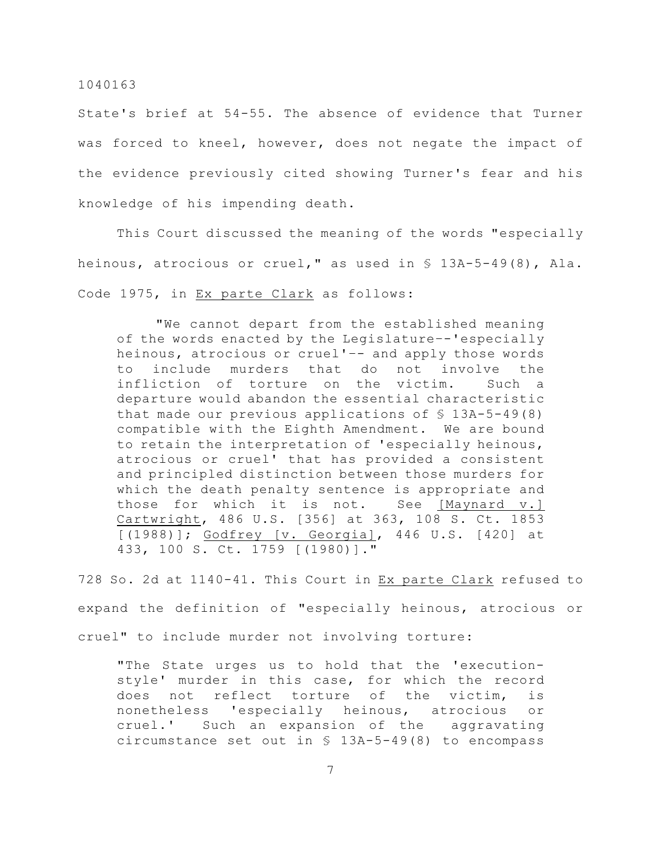State's brief at 54-55. The absence of evidence that Turner was forced to kneel, however, does not negate the impact of the evidence previously cited showing Turner's fear and his knowledge of his impending death.

This Court discussed the meaning of the words "especially heinous, atrocious or cruel," as used in § 13A-5-49(8), Ala. Code 1975, in Ex parte Clark as follows:

"We cannot depart from the established meaning of the words enacted by the Legislature–-'especially heinous, atrocious or cruel'–- and apply those words to include murders that do not involve the infliction of torture on the victim. Such a departure would abandon the essential characteristic that made our previous applications of § 13A-5-49(8) compatible with the Eighth Amendment. We are bound to retain the interpretation of 'especially heinous, atrocious or cruel' that has provided a consistent and principled distinction between those murders for which the death penalty sentence is appropriate and those for which it is not. See [Maynard v.] Cartwright, 486 U.S. [356] at 363, 108 S. Ct. 1853 [(1988)]; Godfrey [v. Georgia], 446 U.S. [420] at 433, 100 S. Ct. 1759 [(1980)]."

728 So. 2d at 1140-41. This Court in Ex parte Clark refused to expand the definition of "especially heinous, atrocious or cruel" to include murder not involving torture:

"The State urges us to hold that the 'executionstyle' murder in this case, for which the record does not reflect torture of the victim, is nonetheless 'especially heinous, atrocious or cruel.' Such an expansion of the aggravating circumstance set out in § 13A-5-49(8) to encompass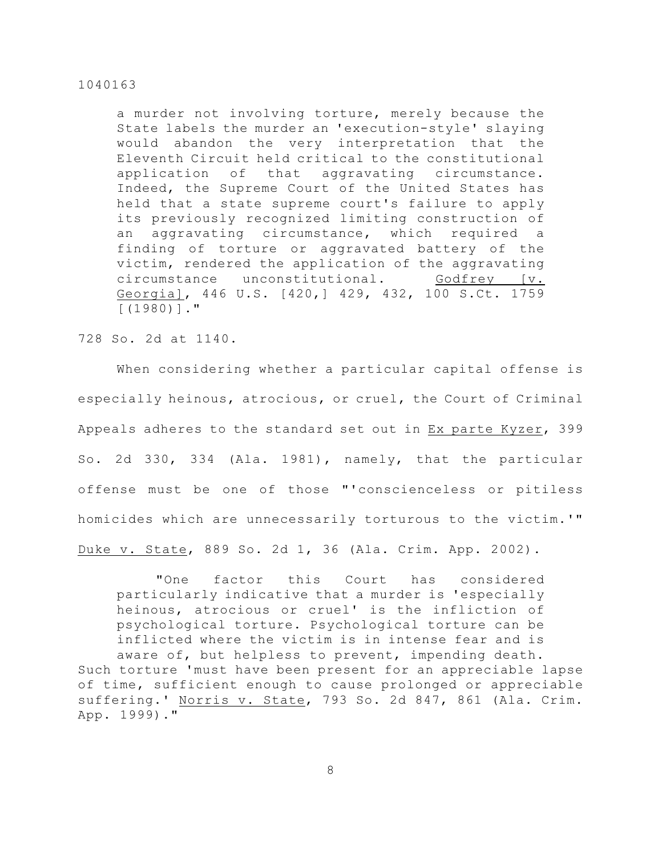a murder not involving torture, merely because the State labels the murder an 'execution-style' slaying would abandon the very interpretation that the Eleventh Circuit held critical to the constitutional application of that aggravating circumstance. Indeed, the Supreme Court of the United States has held that a state supreme court's failure to apply its previously recognized limiting construction of an aggravating circumstance, which required a finding of torture or aggravated battery of the victim, rendered the application of the aggravating circumstance unconstitutional. Godfrey [v. Georgia], 446 U.S. [420,] 429, 432, 100 S.Ct. 1759 [(1980)]."

728 So. 2d at 1140.

When considering whether a particular capital offense is especially heinous, atrocious, or cruel, the Court of Criminal Appeals adheres to the standard set out in Ex parte Kyzer, 399 So. 2d 330, 334 (Ala. 1981), namely, that the particular offense must be one of those "'conscienceless or pitiless homicides which are unnecessarily torturous to the victim.'" Duke v. State, 889 So. 2d 1, 36 (Ala. Crim. App. 2002).

"One factor this Court has considered particularly indicative that a murder is 'especially heinous, atrocious or cruel' is the infliction of psychological torture. Psychological torture can be inflicted where the victim is in intense fear and is aware of, but helpless to prevent, impending death. Such torture 'must have been present for an appreciable lapse of time, sufficient enough to cause prolonged or appreciable suffering.' Norris v. State, 793 So. 2d 847, 861 (Ala. Crim. App. 1999)."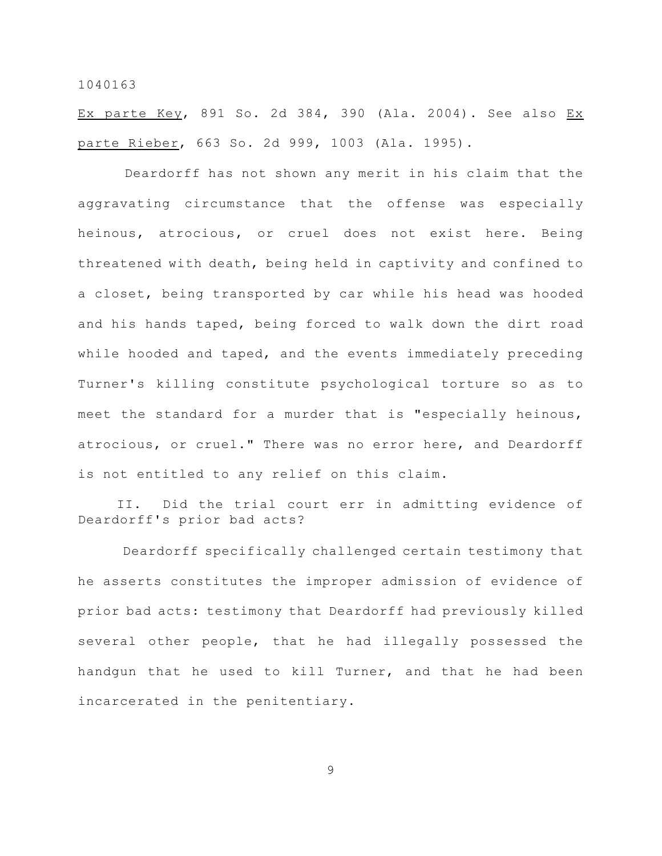Ex parte Key, 891 So. 2d 384, 390 (Ala. 2004). See also Ex parte Rieber, 663 So. 2d 999, 1003 (Ala. 1995).

 Deardorff has not shown any merit in his claim that the aggravating circumstance that the offense was especially heinous, atrocious, or cruel does not exist here. Being threatened with death, being held in captivity and confined to a closet, being transported by car while his head was hooded and his hands taped, being forced to walk down the dirt road while hooded and taped, and the events immediately preceding Turner's killing constitute psychological torture so as to meet the standard for a murder that is "especially heinous, atrocious, or cruel." There was no error here, and Deardorff is not entitled to any relief on this claim.

II. Did the trial court err in admitting evidence of Deardorff's prior bad acts?

Deardorff specifically challenged certain testimony that he asserts constitutes the improper admission of evidence of prior bad acts: testimony that Deardorff had previously killed several other people, that he had illegally possessed the handgun that he used to kill Turner, and that he had been incarcerated in the penitentiary.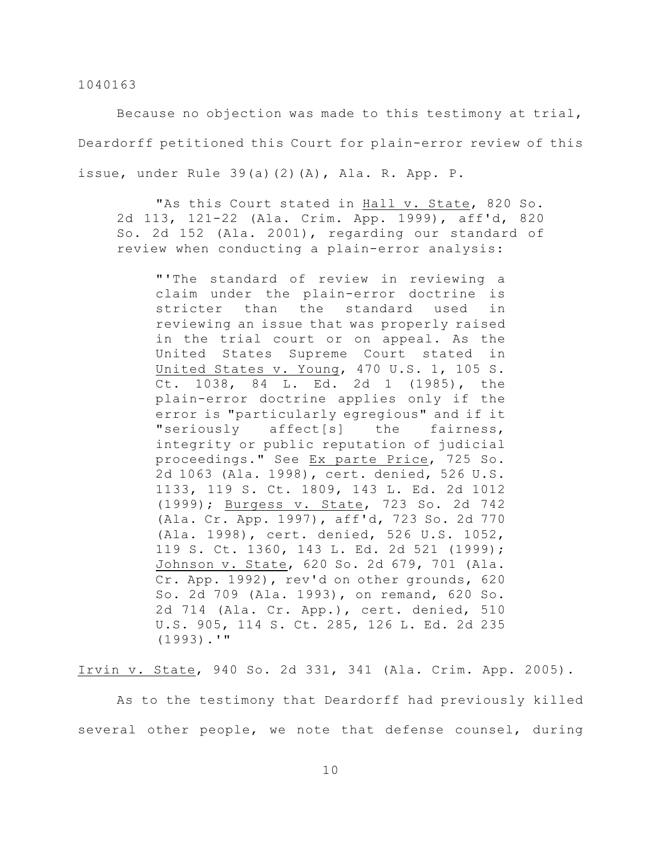Because no objection was made to this testimony at trial, Deardorff petitioned this Court for plain-error review of this issue, under Rule 39(a)(2)(A), Ala. R. App. P.

"As this Court stated in Hall v. State, 820 So. 2d 113, 121-22 (Ala. Crim. App. 1999), aff'd, 820 So. 2d 152 (Ala. 2001), regarding our standard of review when conducting a plain-error analysis:

"'The standard of review in reviewing a claim under the plain-error doctrine is stricter than the standard used in reviewing an issue that was properly raised in the trial court or on appeal. As the United States Supreme Court stated in United States v. Young, 470 U.S. 1, 105 S. Ct. 1038, 84 L. Ed. 2d 1 (1985), the plain-error doctrine applies only if the error is "particularly egregious" and if it "seriously affect[s] the fairness, integrity or public reputation of judicial proceedings." See Ex parte Price, 725 So. 2d 1063 (Ala. 1998), cert. denied, 526 U.S. 1133, 119 S. Ct. 1809, 143 L. Ed. 2d 1012 (1999); Burgess v. State, 723 So. 2d 742 (Ala. Cr. App. 1997), aff'd, 723 So. 2d 770 (Ala. 1998), cert. denied, 526 U.S. 1052, 119 S. Ct. 1360, 143 L. Ed. 2d 521 (1999); Johnson v. State, 620 So. 2d 679, 701 (Ala. Cr. App. 1992), rev'd on other grounds, 620 So. 2d 709 (Ala. 1993), on remand, 620 So. 2d 714 (Ala. Cr. App.), cert. denied, 510 U.S. 905, 114 S. Ct. 285, 126 L. Ed. 2d 235 (1993).'"

Irvin v. State, 940 So. 2d 331, 341 (Ala. Crim. App. 2005).

As to the testimony that Deardorff had previously killed several other people, we note that defense counsel, during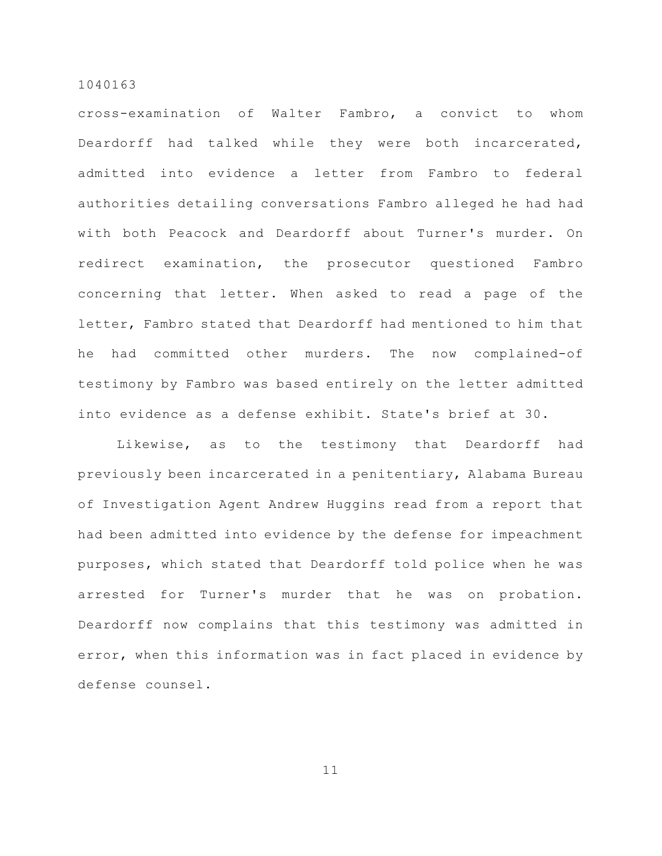cross-examination of Walter Fambro, a convict to whom Deardorff had talked while they were both incarcerated, admitted into evidence a letter from Fambro to federal authorities detailing conversations Fambro alleged he had had with both Peacock and Deardorff about Turner's murder. On redirect examination, the prosecutor questioned Fambro concerning that letter. When asked to read a page of the letter, Fambro stated that Deardorff had mentioned to him that he had committed other murders. The now complained-of testimony by Fambro was based entirely on the letter admitted into evidence as a defense exhibit. State's brief at 30.

Likewise, as to the testimony that Deardorff had previously been incarcerated in a penitentiary, Alabama Bureau of Investigation Agent Andrew Huggins read from a report that had been admitted into evidence by the defense for impeachment purposes, which stated that Deardorff told police when he was arrested for Turner's murder that he was on probation. Deardorff now complains that this testimony was admitted in error, when this information was in fact placed in evidence by defense counsel.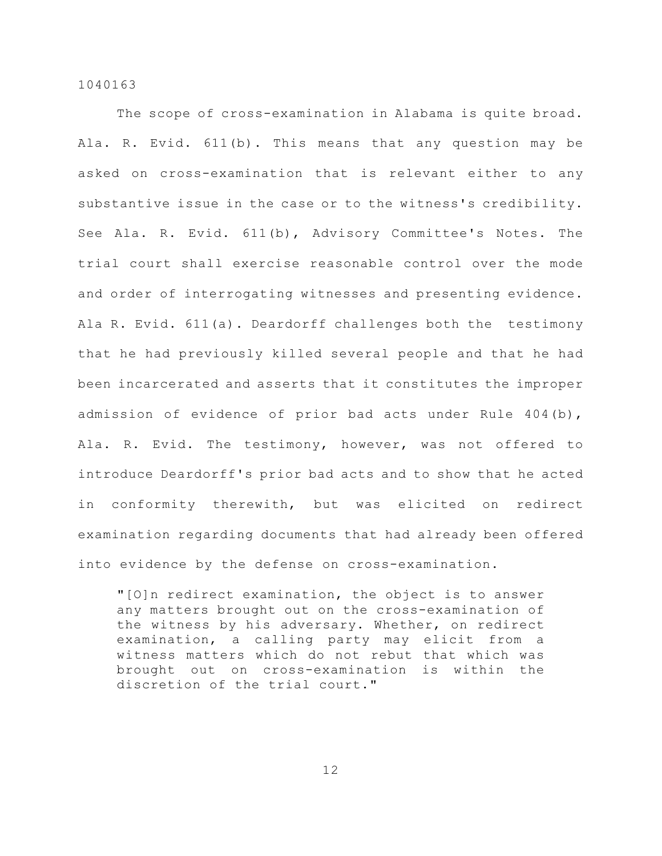The scope of cross-examination in Alabama is quite broad. Ala. R. Evid. 611(b). This means that any question may be asked on cross-examination that is relevant either to any substantive issue in the case or to the witness's credibility. See Ala. R. Evid. 611(b), Advisory Committee's Notes. The trial court shall exercise reasonable control over the mode and order of interrogating witnesses and presenting evidence. Ala R. Evid. 611(a). Deardorff challenges both the testimony that he had previously killed several people and that he had been incarcerated and asserts that it constitutes the improper admission of evidence of prior bad acts under Rule 404(b), Ala. R. Evid. The testimony, however, was not offered to introduce Deardorff's prior bad acts and to show that he acted in conformity therewith, but was elicited on redirect examination regarding documents that had already been offered into evidence by the defense on cross-examination.

"[O]n redirect examination, the object is to answer any matters brought out on the cross-examination of the witness by his adversary. Whether, on redirect examination, a calling party may elicit from a witness matters which do not rebut that which was brought out on cross-examination is within the discretion of the trial court."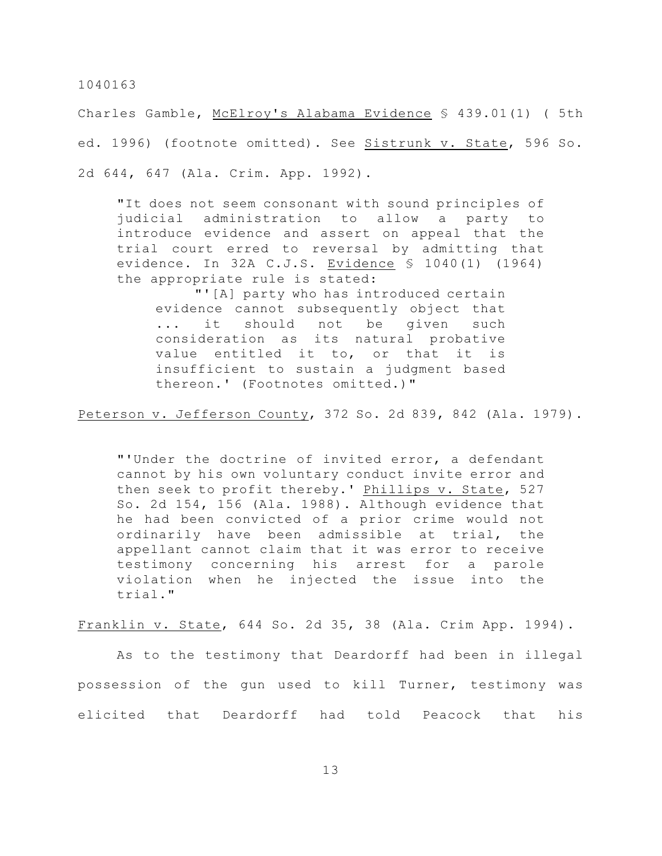Charles Gamble, McElroy's Alabama Evidence § 439.01(1) ( 5th ed. 1996) (footnote omitted). See Sistrunk v. State, 596 So. 2d 644, 647 (Ala. Crim. App. 1992).

"It does not seem consonant with sound principles of judicial administration to allow a party to introduce evidence and assert on appeal that the trial court erred to reversal by admitting that evidence. In 32A C.J.S. Evidence § 1040(1) (1964) the appropriate rule is stated:

"'[A] party who has introduced certain evidence cannot subsequently object that ... it should not be given such consideration as its natural probative value entitled it to, or that it is insufficient to sustain a judgment based thereon.' (Footnotes omitted.)"

Peterson v. Jefferson County, 372 So. 2d 839, 842 (Ala. 1979).

"'Under the doctrine of invited error, a defendant cannot by his own voluntary conduct invite error and then seek to profit thereby.' Phillips v. State, 527 So. 2d 154, 156 (Ala. 1988). Although evidence that he had been convicted of a prior crime would not ordinarily have been admissible at trial, the appellant cannot claim that it was error to receive testimony concerning his arrest for a parole violation when he injected the issue into the trial."

Franklin v. State, 644 So. 2d 35, 38 (Ala. Crim App. 1994).

As to the testimony that Deardorff had been in illegal possession of the gun used to kill Turner, testimony was elicited that Deardorff had told Peacock that his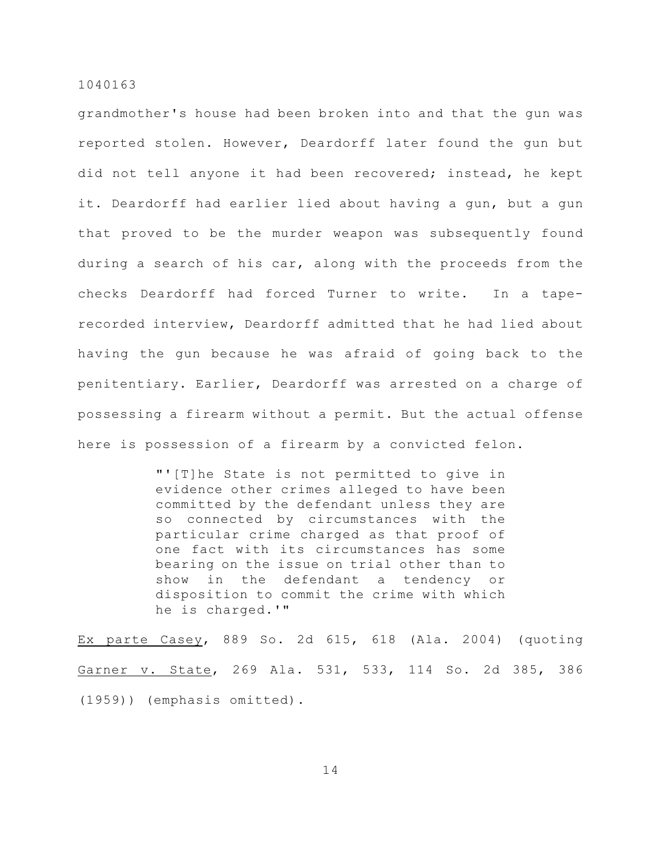grandmother's house had been broken into and that the gun was reported stolen. However, Deardorff later found the gun but did not tell anyone it had been recovered; instead, he kept it. Deardorff had earlier lied about having a gun, but a gun that proved to be the murder weapon was subsequently found during a search of his car, along with the proceeds from the checks Deardorff had forced Turner to write. In a taperecorded interview, Deardorff admitted that he had lied about having the gun because he was afraid of going back to the penitentiary. Earlier, Deardorff was arrested on a charge of possessing a firearm without a permit. But the actual offense here is possession of a firearm by a convicted felon.

> "'[T]he State is not permitted to give in evidence other crimes alleged to have been committed by the defendant unless they are so connected by circumstances with the particular crime charged as that proof of one fact with its circumstances has some bearing on the issue on trial other than to show in the defendant a tendency or disposition to commit the crime with which he is charged.'"

Ex parte Casey, 889 So. 2d 615, 618 (Ala. 2004) (quoting Garner v. State, 269 Ala. 531, 533, 114 So. 2d 385, 386 (1959)) (emphasis omitted).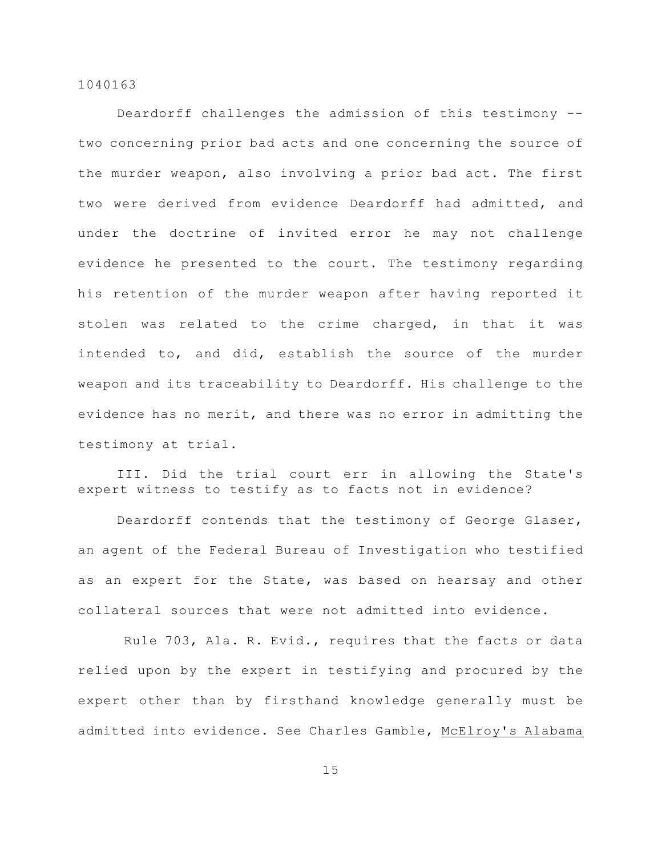Deardorff challenges the admission of this testimony - two concerning prior bad acts and one concerning the source of the murder weapon, also involving a prior bad act. The first two were derived from evidence Deardorff had admitted, and under the doctrine of invited error he may not challenge evidence he presented to the court. The testimony regarding his retention of the murder weapon after having reported it stolen was related to the crime charged, in that it was intended to, and did, establish the source of the murder weapon and its traceability to Deardorff. His challenge to the evidence has no merit, and there was no error in admitting the testimony at trial.

III. Did the trial court err in allowing the State's expert witness to testify as to facts not in evidence?

Deardorff contends that the testimony of George Glaser, an agent of the Federal Bureau of Investigation who testified as an expert for the State, was based on hearsay and other collateral sources that were not admitted into evidence.

 Rule 703, Ala. R. Evid., requires that the facts or data relied upon by the expert in testifying and procured by the expert other than by firsthand knowledge generally must be admitted into evidence. See Charles Gamble, McElroy's Alabama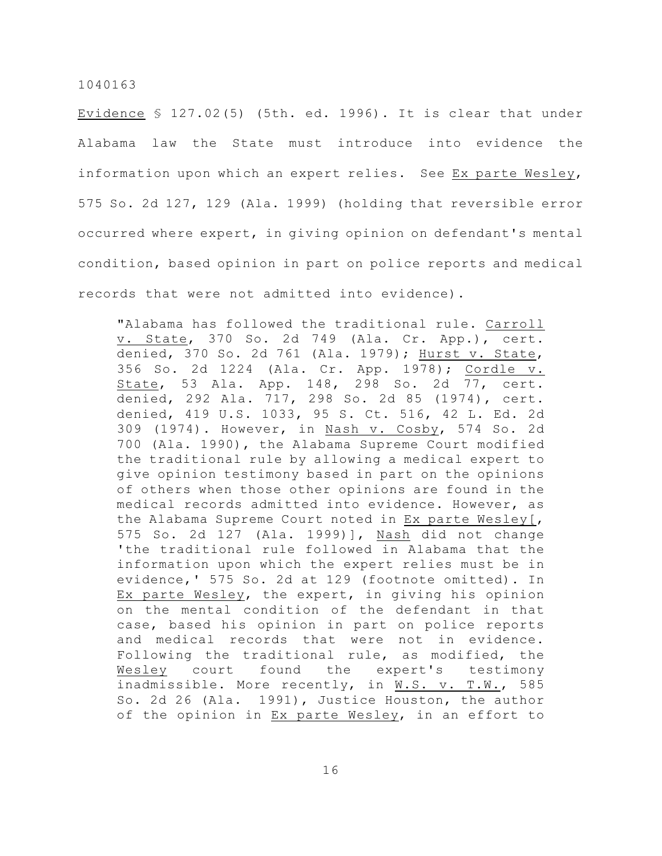Evidence  $$ 127.02(5)$  (5th. ed. 1996). It is clear that under Alabama law the State must introduce into evidence the information upon which an expert relies. See Ex parte Wesley, 575 So. 2d 127, 129 (Ala. 1999) (holding that reversible error occurred where expert, in giving opinion on defendant's mental condition, based opinion in part on police reports and medical records that were not admitted into evidence).

"Alabama has followed the traditional rule. Carroll v. State, 370 So. 2d 749 (Ala. Cr. App.), cert. denied, 370 So. 2d 761 (Ala. 1979); Hurst v. State, 356 So. 2d 1224 (Ala. Cr. App. 1978); Cordle v. State, 53 Ala. App. 148, 298 So. 2d 77, cert. denied, 292 Ala. 717, 298 So. 2d 85 (1974), cert. denied, 419 U.S. 1033, 95 S. Ct. 516, 42 L. Ed. 2d 309 (1974). However, in Nash v. Cosby, 574 So. 2d 700 (Ala. 1990), the Alabama Supreme Court modified the traditional rule by allowing a medical expert to give opinion testimony based in part on the opinions of others when those other opinions are found in the medical records admitted into evidence. However, as the Alabama Supreme Court noted in Ex parte Wesley[, 575 So. 2d 127 (Ala. 1999)], Nash did not change 'the traditional rule followed in Alabama that the information upon which the expert relies must be in evidence,' 575 So. 2d at 129 (footnote omitted). In Ex parte Wesley, the expert, in giving his opinion on the mental condition of the defendant in that case, based his opinion in part on police reports and medical records that were not in evidence. Following the traditional rule, as modified, the Wesley court found the expert's testimony inadmissible. More recently, in W.S. v. T.W., 585 So. 2d 26 (Ala. 1991), Justice Houston, the author of the opinion in Ex parte Wesley, in an effort to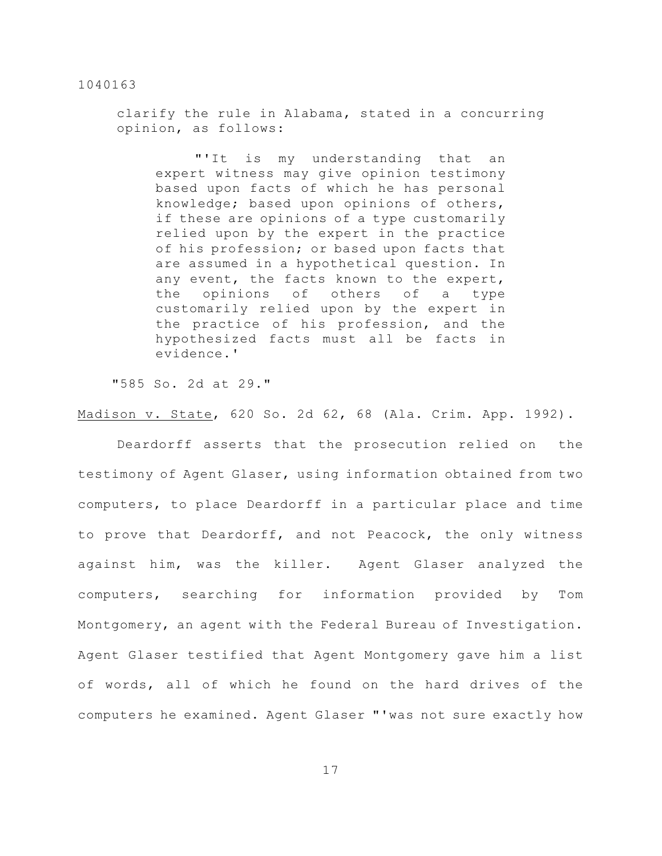clarify the rule in Alabama, stated in a concurring opinion, as follows:

"'It is my understanding that an expert witness may give opinion testimony based upon facts of which he has personal knowledge; based upon opinions of others, if these are opinions of a type customarily relied upon by the expert in the practice of his profession; or based upon facts that are assumed in a hypothetical question. In any event, the facts known to the expert, the opinions of others of a type customarily relied upon by the expert in the practice of his profession, and the hypothesized facts must all be facts in evidence.'

"585 So. 2d at 29."

Madison v. State, 620 So. 2d 62, 68 (Ala. Crim. App. 1992).

Deardorff asserts that the prosecution relied on the testimony of Agent Glaser, using information obtained from two computers, to place Deardorff in a particular place and time to prove that Deardorff, and not Peacock, the only witness against him, was the killer. Agent Glaser analyzed the computers, searching for information provided by Tom Montgomery, an agent with the Federal Bureau of Investigation. Agent Glaser testified that Agent Montgomery gave him a list of words, all of which he found on the hard drives of the computers he examined. Agent Glaser "'was not sure exactly how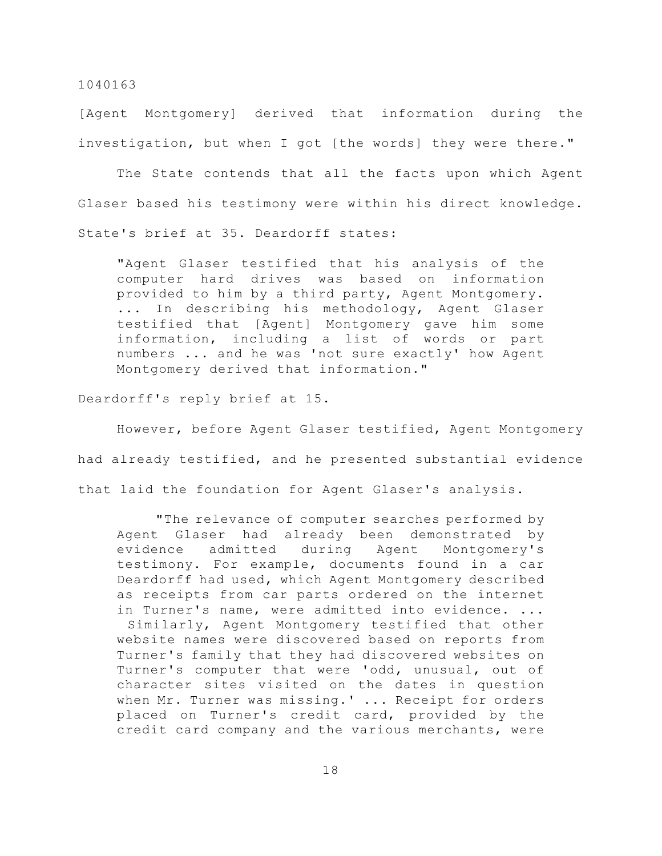[Agent Montgomery] derived that information during the investigation, but when I got [the words] they were there."

The State contends that all the facts upon which Agent Glaser based his testimony were within his direct knowledge. State's brief at 35. Deardorff states:

"Agent Glaser testified that his analysis of the computer hard drives was based on information provided to him by a third party, Agent Montgomery. ... In describing his methodology, Agent Glaser testified that [Agent] Montgomery gave him some information, including a list of words or part numbers ... and he was 'not sure exactly' how Agent Montgomery derived that information."

Deardorff's reply brief at 15.

However, before Agent Glaser testified, Agent Montgomery had already testified, and he presented substantial evidence that laid the foundation for Agent Glaser's analysis.

"The relevance of computer searches performed by Agent Glaser had already been demonstrated by evidence admitted during Agent Montgomery's testimony. For example, documents found in a car Deardorff had used, which Agent Montgomery described as receipts from car parts ordered on the internet in Turner's name, were admitted into evidence. ... Similarly, Agent Montgomery testified that other website names were discovered based on reports from Turner's family that they had discovered websites on Turner's computer that were 'odd, unusual, out of character sites visited on the dates in question when Mr. Turner was missing.' ... Receipt for orders placed on Turner's credit card, provided by the credit card company and the various merchants, were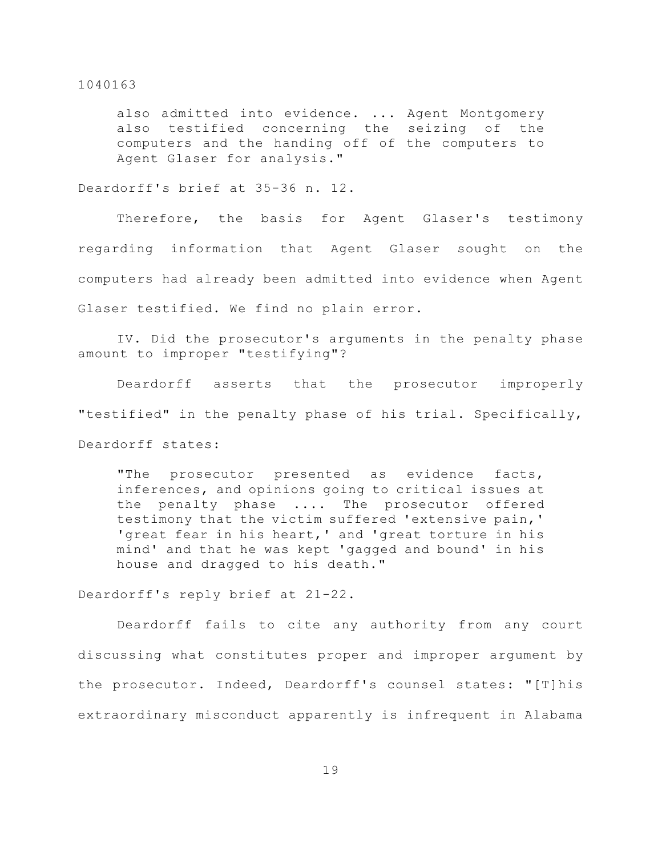also admitted into evidence. ... Agent Montgomery also testified concerning the seizing of the computers and the handing off of the computers to Agent Glaser for analysis."

Deardorff's brief at 35-36 n. 12.

Therefore, the basis for Agent Glaser's testimony regarding information that Agent Glaser sought on the computers had already been admitted into evidence when Agent Glaser testified. We find no plain error.

IV. Did the prosecutor's arguments in the penalty phase amount to improper "testifying"?

Deardorff asserts that the prosecutor improperly "testified" in the penalty phase of his trial. Specifically, Deardorff states:

"The prosecutor presented as evidence facts, inferences, and opinions going to critical issues at the penalty phase .... The prosecutor offered testimony that the victim suffered 'extensive pain,' 'great fear in his heart,' and 'great torture in his mind' and that he was kept 'gagged and bound' in his house and dragged to his death."

Deardorff's reply brief at 21-22.

Deardorff fails to cite any authority from any court discussing what constitutes proper and improper argument by the prosecutor. Indeed, Deardorff's counsel states: "[T]his extraordinary misconduct apparently is infrequent in Alabama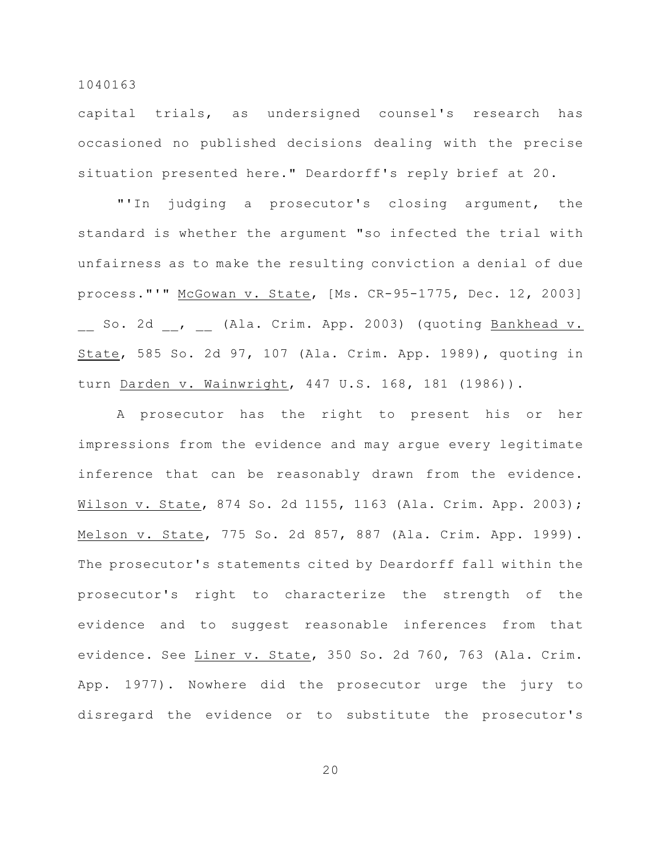capital trials, as undersigned counsel's research has occasioned no published decisions dealing with the precise situation presented here." Deardorff's reply brief at 20.

"'In judging a prosecutor's closing argument, the standard is whether the argument "so infected the trial with unfairness as to make the resulting conviction a denial of due process."'" McGowan v. State, [Ms. CR-95-1775, Dec. 12, 2003] So. 2d , (Ala. Crim. App. 2003) (quoting Bankhead v. State, 585 So. 2d 97, 107 (Ala. Crim. App. 1989), quoting in turn Darden v. Wainwright, 447 U.S. 168, 181 (1986)).

A prosecutor has the right to present his or her impressions from the evidence and may argue every legitimate inference that can be reasonably drawn from the evidence. Wilson v. State, 874 So. 2d 1155, 1163 (Ala. Crim. App. 2003); Melson v. State, 775 So. 2d 857, 887 (Ala. Crim. App. 1999). The prosecutor's statements cited by Deardorff fall within the prosecutor's right to characterize the strength of the evidence and to suggest reasonable inferences from that evidence. See Liner v. State, 350 So. 2d 760, 763 (Ala. Crim. App. 1977). Nowhere did the prosecutor urge the jury to disregard the evidence or to substitute the prosecutor's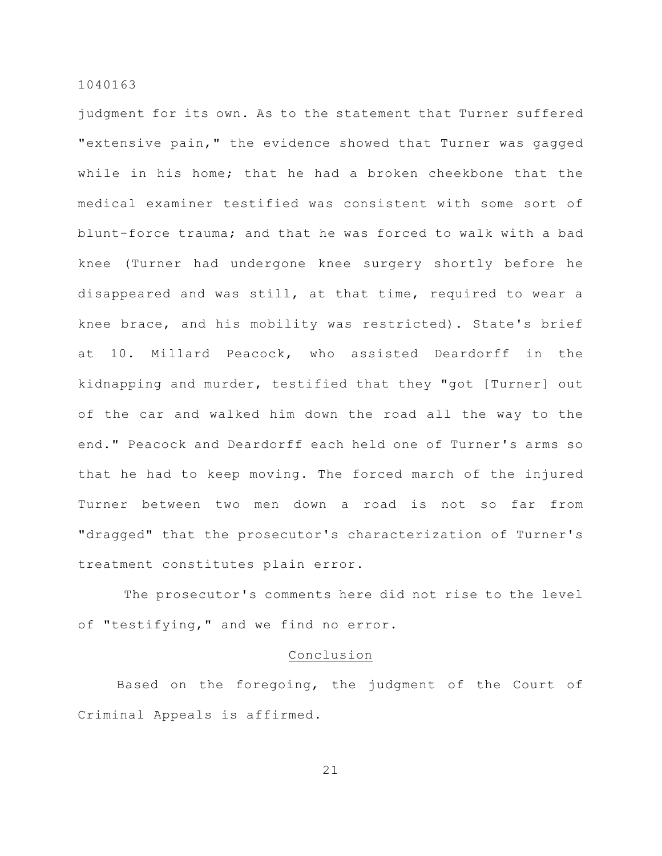judgment for its own. As to the statement that Turner suffered "extensive pain," the evidence showed that Turner was gagged while in his home; that he had a broken cheekbone that the medical examiner testified was consistent with some sort of blunt-force trauma; and that he was forced to walk with a bad knee (Turner had undergone knee surgery shortly before he disappeared and was still, at that time, required to wear a knee brace, and his mobility was restricted). State's brief at 10. Millard Peacock, who assisted Deardorff in the kidnapping and murder, testified that they "got [Turner] out of the car and walked him down the road all the way to the end." Peacock and Deardorff each held one of Turner's arms so that he had to keep moving. The forced march of the injured Turner between two men down a road is not so far from "dragged" that the prosecutor's characterization of Turner's treatment constitutes plain error.

 The prosecutor's comments here did not rise to the level of "testifying," and we find no error.

## Conclusion

Based on the foregoing, the judgment of the Court of Criminal Appeals is affirmed.